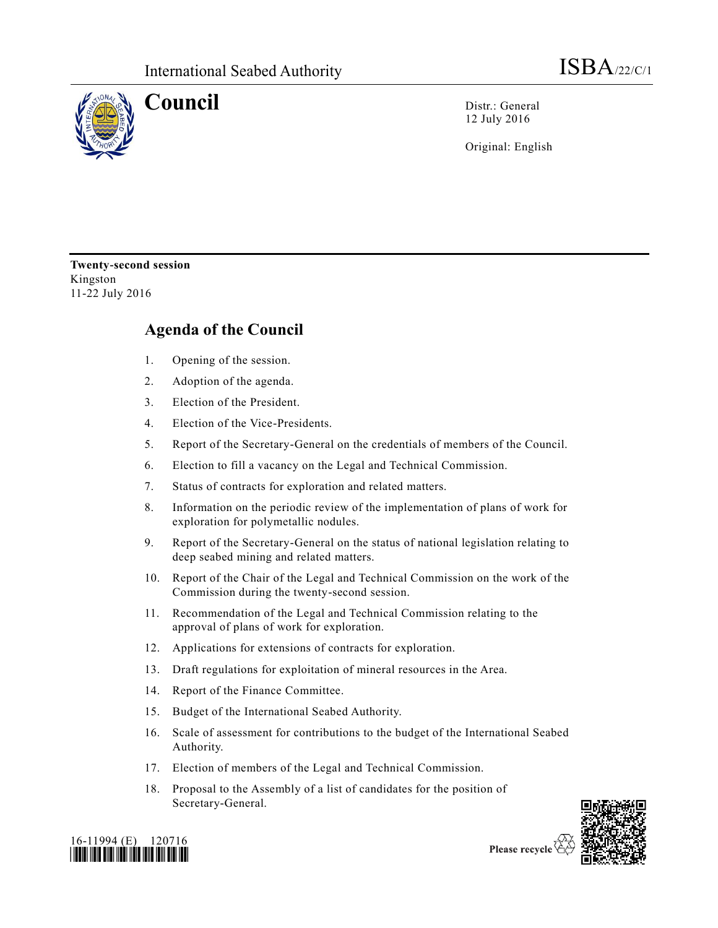

**Council** Distr.: General 12 July 2016

Original: English

**Twenty-second session** Kingston 11-22 July 2016

## **Agenda of the Council**

- 1. Opening of the session.
- 2. Adoption of the agenda.
- 3. Election of the President.
- 4. Election of the Vice-Presidents.
- 5. Report of the Secretary-General on the credentials of members of the Council.
- 6. Election to fill a vacancy on the Legal and Technical Commission.
- 7. Status of contracts for exploration and related matters.
- 8. Information on the periodic review of the implementation of plans of work for exploration for polymetallic nodules.
- 9. Report of the Secretary-General on the status of national legislation relating to deep seabed mining and related matters.
- 10. Report of the Chair of the Legal and Technical Commission on the work of the Commission during the twenty-second session.
- 11. Recommendation of the Legal and Technical Commission relating to the approval of plans of work for exploration.
- 12. Applications for extensions of contracts for exploration.
- 13. Draft regulations for exploitation of mineral resources in the Area.
- 14. Report of the Finance Committee.
- 15. Budget of the International Seabed Authority.
- 16. Scale of assessment for contributions to the budget of the International Seabed Authority.
- 17. Election of members of the Legal and Technical Commission.
- 18. Proposal to the Assembly of a list of candidates for the position of Secretary-General.